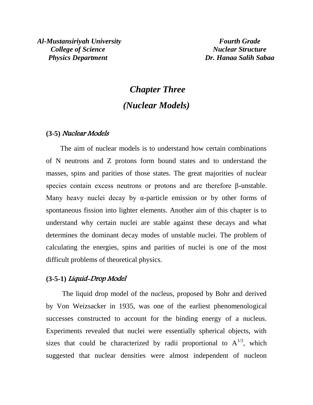# *Chapter Three (Nuclear Models)*

#### **(3-5)** Nuclear Models

 The aim of nuclear models is to understand how certain combinations of N neutrons and Z protons form bound states and to understand the masses, spins and parities of those states. The great majorities of nuclear species contain excess neutrons or protons and are therefore β-unstable. Many heavy nuclei decay by  $\alpha$ -particle emission or by other forms of spontaneous fission into lighter elements. Another aim of this chapter is to understand why certain nuclei are stable against these decays and what determines the dominant decay modes of unstable nuclei. The problem of calculating the energies, spins and parities of nuclei is one of the most difficult problems of theoretical physics.

#### **(3-5-1)** Liquid-Drop Model

 The liquid drop model of the nucleus, proposed by Bohr and derived by Von Weizsacker in 1935, was one of the earliest phenomenological successes constructed to account for the binding energy of a nucleus. Experiments revealed that nuclei were essentially spherical objects, with sizes that could be characterized by radii proportional to  $A^{1/3}$ , which suggested that nuclear densities were almost independent of nucleon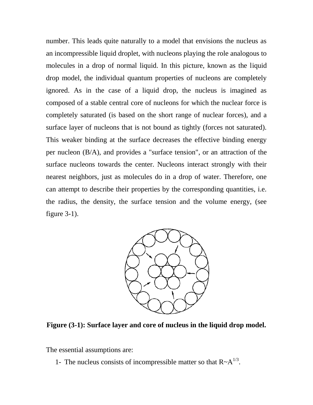number. This leads quite naturally to a model that envisions the nucleus as an incompressible liquid droplet, with nucleons playing the role analogous to molecules in a drop of normal liquid. In this picture, known as the liquid drop model, the individual quantum properties of nucleons are completely ignored. As in the case of a liquid drop, the nucleus is imagined as composed of a stable central core of nucleons for which the nuclear force is completely saturated (is based on the short range of nuclear forces), and a surface layer of nucleons that is not bound as tightly (forces not saturated). This weaker binding at the surface decreases the effective binding energy per nucleon (B/A), and provides a "surface tension", or an attraction of the surface nucleons towards the center. Nucleons interact strongly with their nearest neighbors, just as molecules do in a drop of water. Therefore, one can attempt to describe their properties by the corresponding quantities, i.e. the radius, the density, the surface tension and the volume energy, (see figure 3-1).



**Figure (3-1): Surface layer and core of nucleus in the liquid drop model.**

The essential assumptions are:

1- The nucleus consists of incompressible matter so that  $R \sim A^{1/3}$ .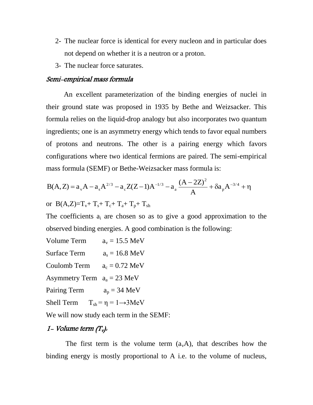- 2- The nuclear force is identical for every nucleon and in particular does not depend on whether it is a neutron or a proton.
- 3- The nuclear force saturates.

#### Semi-empirical mass formula

 An excellent parameterization of the binding energies of nuclei in their ground state was proposed in 1935 by Bethe and Weizsacker. This formula relies on the liquid-drop analogy but also incorporates two quantum ingredients; one is an asymmetry energy which tends to favor equal numbers of protons and neutrons. The other is a pairing energy which favors configurations where two identical fermions are paired. The semi-empirical mass formula (SEMF) or Bethe-Weizsacker mass formula is:

$$
B(A,Z) = a_v A - a_s A^{2/3} - a_c Z(Z-1)A^{-1/3} - a_a \frac{(A-2Z)^2}{A} + \delta a_p A^{-3/4} + \eta
$$

or B(A,Z)= $T_v$ +  $T_s$ +  $T_c$ +  $T_a$ +  $T_p$ +  $T_{sh}$ 

The coefficients  $a_i$  are chosen so as to give a good approximation to the observed binding energies. A good combination is the following:

Volume Term  $a_v = 15.5 \text{ MeV}$ Surface Term  $a_s = 16.8 \text{ MeV}$ Coulomb Term  $a_c = 0.72 \text{ MeV}$ Asymmetry Term  $a_a = 23$  MeV Pairing Term  $a_p = 34 \text{ MeV}$ Shell Term  $T_{sh} = \eta = 1 \rightarrow 3MeV$ 

We will now study each term in the SEMF:

#### 1- Volume term  $(T_v)$ .

The first term is the volume term  $(a_vA)$ , that describes how the binding energy is mostly proportional to A i.e. to the volume of nucleus,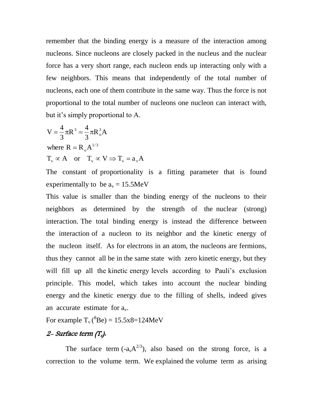remember that the binding energy is a measure of the interaction among nucleons. Since nucleons are closely packed in the nucleus and the nuclear force has a very short range, each nucleon ends up interacting only with a few neighbors. This means that independently of the total number of nucleons, each one of them contribute in the same way. Thus the force is not proportional to the total number of nucleons one nucleon can interact with, but it's simply proportional to A.

$$
V = \frac{4}{3}\pi R^3 = \frac{4}{3}\pi R_o^3 A
$$
  
where  $R = R_o A^{1/3}$   
 $T_v \propto A$  or  $T_v \propto V \Rightarrow T_v = a_v A$ 

The constant of proportionality is a fitting parameter that is found experimentally to be  $a_v = 15.5MeV$ 

This value is smaller than the binding energy of the nucleons to their neighbors as determined by the strength of the nuclear (strong) interaction. The total binding energy is instead the difference between the interaction of a nucleon to its neighbor and the kinetic energy of the nucleon itself. As for electrons in an atom, the nucleons are fermions, thus they cannot all be in the same state with zero kinetic energy, but they will fill up all the kinetic energy levels according to Pauli's exclusion principle. This model, which takes into account the nuclear binding energy and the kinetic energy due to the filling of shells, indeed gives an accurate estimate for  $a_{\nu}$ .

For example  $T_v(^8\text{Be}) = 15.5x8=124\text{MeV}$ 

## 2- Surface term  $(T_s)$ .

The surface term  $(-a_sA^{2/3})$ , also based on the strong force, is a correction to the volume term. We explained the volume term as arising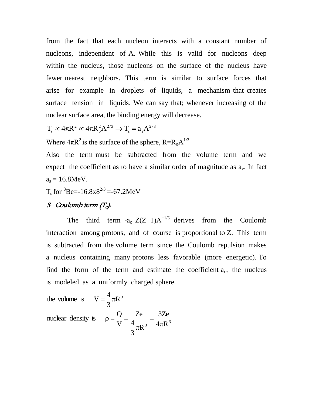from the fact that each nucleon interacts with a constant number of nucleons, independent of A. While this is valid for nucleons deep within the nucleus, those nucleons on the surface of the nucleus have fewer nearest neighbors. This term is similar to surface forces that arise for example in droplets of liquids, a mechanism that creates surface tension in liquids. We can say that; whenever increasing of the nuclear surface area, the binding energy will decrease.

$$
T_s \propto 4\pi R^2 \propto 4\pi R_o^2 A^{2/3} \Longrightarrow T_s = a_s A^{2/3}
$$

Where  $4\pi R^2$  is the surface of the sphere,  $R=R_0A^{1/3}$ 

Also the term must be subtracted from the volume term and we expect the coefficient as to have a similar order of magnitude as  $a<sub>v</sub>$ . In fact  $a_s = 16.8$ MeV.

 $T_s$  for  ${}^8$ Be=-16.8x8<sup>2/3</sup> =-67.2MeV

# $3$ - Coulomb term  $(T_c)$ .

The third term -a<sub>c</sub>  $Z(Z-1)A^{-1/3}$  derives from the Coulomb interaction among protons, and of course is proportional to Z. This term is subtracted from the volume term since the Coulomb repulsion makes a nucleus containing many protons less favorable (more energetic). To find the form of the term and estimate the coefficient  $a_c$ , the nucleus is modeled as a uniformly charged sphere.

the volume is 
$$
V = \frac{4}{3}\pi R^3
$$
  
nuclear density is  $\rho = \frac{Q}{V} = \frac{Ze}{\frac{4}{3}\pi R^3} = \frac{3Ze}{4\pi R^3}$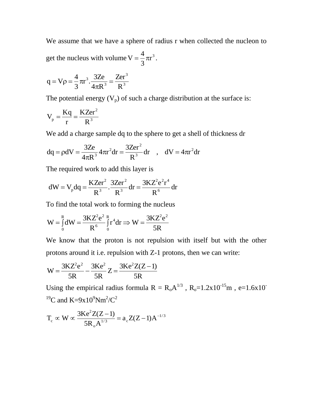We assume that we have a sphere of radius r when collected the nucleon to get the nucleus with volume  $V = \frac{4}{3}\pi r^3$ 3 4  $V = \frac{1}{2}\pi r^3$ .

$$
q = V\rho = \frac{4}{3}\pi r^3 \cdot \frac{3Ze}{4\pi R^3} = \frac{Zer^3}{R^3}
$$

The potential energy  $(V_p)$  of such a charge distribution at the surface is:

$$
V_p = \frac{Kq}{r} = \frac{KZer^2}{R^3}
$$

We add a charge sample dq to the sphere to get a shell of thickness dr

$$
dq = \rho dV = \frac{3Ze}{4\pi R^3} 4\pi r^2 dr = \frac{3Zer^2}{R^3} dr \quad , \quad dV = 4\pi r^2 dr
$$

The required work to add this layer is

$$
dW = V_p dq = \frac{KZer^2}{R^3} \cdot \frac{3Zer^2}{R^3} dr = \frac{3KZ^2e^2r^4}{R^6} dr
$$

To find the total work to forming the nucleus

$$
W = \int_{0}^{R} dW = \frac{3KZ^{2}e^{2}}{R^{6}} \int_{0}^{R} r^{4} dr \Rightarrow W = \frac{3KZ^{2}e^{2}}{5R}
$$

We know that the proton is not repulsion with itself but with the other protons around it i.e. repulsion with Z-1 protons, then we can write:

$$
W = \frac{3KZ^{2}e^{2}}{5R} - \frac{3Ke^{2}}{5R}Z = \frac{3Ke^{2}Z(Z-1)}{5R}
$$

Using the empirical radius formula  $R = R_0 A^{1/3}$ ,  $R_0 = 1.2x 10^{-15}$ m, e=1.6x10<sup>-15</sup> <sup>19</sup>C and K=9x10<sup>9</sup>Nm<sup>2</sup>/C<sup>2</sup>

$$
T_c \propto W \propto \frac{3Ke^2Z(Z-1)}{5R_oA^{1/3}} = a_cZ(Z-1)A^{-1/3}
$$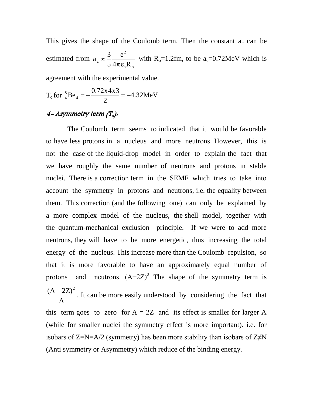This gives the shape of the Coulomb term. Then the constant  $a_c$  can be estimated from  $_{0}$ <sup>o</sup>  $_{0}$ 2  $c \sim 54\pi \epsilon_0 R$ e 5 3 a  $\pi \varepsilon$  $\approx \frac{3}{5}$   $\frac{6}{10}$  with R<sub>o</sub>=1.2fm, to be a<sub>c</sub>=0.72MeV which is

agreement with the experimental value.

$$
T_c \text{ for } \frac{8}{4} \text{Be}_4 = -\frac{0.72 \times 4 \times 3}{2} = -4.32 \text{MeV}
$$

# 4- Asymmetry term  $(T_a)$ .

 The Coulomb term seems to indicated that it would be favorable to have less protons in a nucleus and more neutrons. However, this is not the case of the liquid-drop model in order to explain the fact that we have roughly the same number of neutrons and protons in stable nuclei. There is a correction term in the SEMF which tries to take into account the symmetry in protons and neutrons, i.e. the equality between them. This correction (and the following one) can only be explained by a more complex model of the nucleus, the shell model, together with the quantum-mechanical exclusion principle. If we were to add more neutrons, they will have to be more energetic, thus increasing the total energy of the nucleus. This increase more than the Coulomb repulsion, so that it is more favorable to have an approximately equal number of protons and neutrons.  $(A-2Z)^2$  The shape of the symmetry term is A  $(A - 2Z)^2$ . It can be more easily understood by considering the fact that this term goes to zero for  $A = 2Z$  and its effect is smaller for larger A (while for smaller nuclei the symmetry effect is more important). i.e. for isobars of  $Z=N=A/2$  (symmetry) has been more stability than isobars of  $Z\neq N$ (Anti symmetry or Asymmetry) which reduce of the binding energy.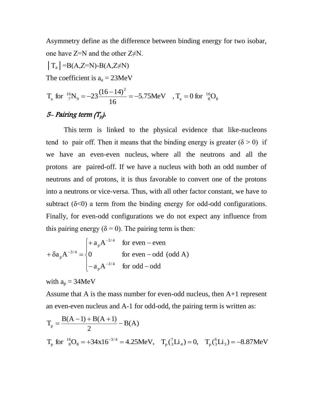Asymmetry define as the difference between binding energy for two isobar, one have  $Z=N$  and the other  $Z\neq N$ .

$$
|T_a| = B(A,Z=N) - B(A,Z \neq N)
$$

The coefficient is  $a_a = 23MeV$ 

$$
T_a \text{ for } \frac{^{16}N_9}{^{7}N_9} = -23 \frac{(16-14)^2}{16} = -5.75 \text{MeV} \quad , T_a = 0 \text{ for } \frac{^{16}N_8}{^{8}N_8}
$$

# 5- Pairing term  $(T_p)$ .

 This term is linked to the physical evidence that like-nucleons tend to pair off. Then it means that the binding energy is greater ( $\delta$  > 0) if we have an even-even nucleus, where all the neutrons and all the protons are paired-off. If we have a nucleus with both an odd number of neutrons and of protons, it is thus favorable to convert one of the protons into a neutrons or vice-versa. Thus, with all other factor constant, we have to subtract  $(\delta \le 0)$  a term from the binding energy for odd-odd configurations. Finally, for even-odd configurations we do not expect any influence from this pairing energy ( $\delta = 0$ ). The pairing term is then:

$$
+\delta a_{p}A^{-3/4} = \begin{cases} + a_{p}A^{-3/4} & \text{for even - even} \\ 0 & \text{for even - odd (odd A)} \\ -a_{p}A^{-3/4} & \text{for odd - odd} \end{cases}
$$

with  $a_p = 34MeV$ 

Assume that A is the mass number for even-odd nucleus, then A+1 represent an even-even nucleus and A-1 for odd-odd, the pairing term is written as:

$$
T_p = \frac{B(A-1) + B(A+1)}{2} - B(A)
$$
  
\n
$$
T_p \text{ for } {}^{16}_{8}O_8 = +34 \times 16^{-3/4} = 4.25 \text{MeV}, \quad T_p({}^{7}_{3}Li_4) = 0, \quad T_p({}^{6}_{3}Li_3) = -8.87 \text{MeV}
$$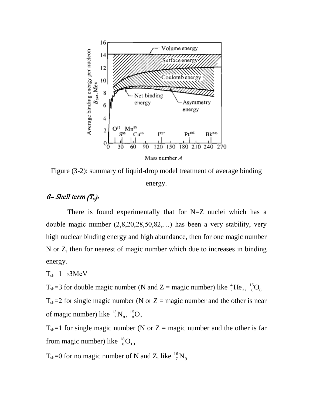

Figure (3-2): summary of liquid-drop model treatment of average binding energy.

## 6- Shell term  $(T_v)$ .

 There is found experimentally that for N=Z nuclei which has a double magic number (2,8,20,28,50,82,…) has been a very stability, very high nuclear binding energy and high abundance, then for one magic number N or Z, then for nearest of magic number which due to increases in binding energy.

$$
T_{sh} = 1 \rightarrow 3 MeV
$$

 $T_{sh}$ =3 for double magic number (N and Z = magic number) like  ${}^{4}_{2}$ He<sub>2</sub>,  ${}^{16}_{8}O_{8}$ 16  $2, 8$  $^{4}_{2}He_{2}$ ,  $^{16}_{8}O$ 

 $T_{sh}=2$  for single magic number (N or Z = magic number and the other is near of magic number) like  ${}^{15}_{7}\text{N}_{8}$ ,  ${}^{15}_{8}\text{O}_{7}$ 15 8, 8  $^{15}_{7}\text{N}_{8}$ ,  $^{15}_{8}\text{O}$ 

 $T_{sh}=1$  for single magic number (N or Z = magic number and the other is far from magic number) like  $^{18}_{\phantom{1}8}\text{O}_{_{10}}$  $^{18}_{8}$ O

 $T_{\rm sh}$ =0 for no magic number of N and Z, like  $^{16}_{7}$ N<sub>9</sub>  $^{16}_{7}\text{N}$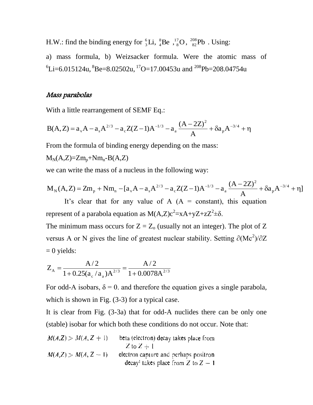H.W.: find the binding energy for  ${}_{3}^{6}Li$ ,  ${}_{4}^{8}Be$ ,  ${}_{8}^{17}O$ 8 8 4 6  ${}^{6}_{3}$ Li,  ${}^{8}_{4}$ Be,  ${}^{17}_{8}$ O,  ${}^{208}_{82}$ Pb. Using:

a) mass formula, b) Weizsacker formula. Were the atomic mass of  ${}^{6}$ Li=6.015124u,  ${}^{8}$ Be=8.02502u,  ${}^{17}$ O=17.00453u and  ${}^{208}$ Pb=208.04754u

### Mass parabolas

With a little rearrangement of SEMF Eq.:

$$
B(A,Z) = a_{v}A - a_{s}A^{2/3} - a_{c}Z(Z-1)A^{-1/3} - a_{a}\frac{(A-2Z)^{2}}{A} + \delta a_{p}A^{-3/4} + \eta
$$

From the formula of binding energy depending on the mass:

 $M_N(A,Z)=Zm_p+Nm_n-B(A,Z)$ 

we can write the mass of a nucleus in the following way:

$$
M_N(A, Z) = Zm_p + Nm_n - [a_vA - a_sA^{2/3} - a_cZ(Z - 1)A^{-1/3} - a_a\frac{(A - 2Z)^2}{A} + \delta a_pA^{-3/4} + \eta]
$$

It's clear that for any value of A  $(A = constant)$ , this equation represent of a parabola equation as  $M(A,Z)c^2 = xA + yZ + zZ^2 + \delta$ .

The minimum mass occurs for  $Z = Z_0$  (usually not an integer). The plot of Z versus A or N gives the line of greatest nuclear stability. Setting  $\partial (Mc^2)/\partial Z$  $= 0$  yields:

$$
Z_{A} = \frac{A/2}{1 + 0.25(a_c/a_a)A^{2/3}} = \frac{A/2}{1 + 0.0078A^{2/3}}
$$

For odd-A isobars,  $\delta = 0$  and therefore the equation gives a single parabola, which is shown in Fig.  $(3-3)$  for a typical case.

It is clear from Fig. (3-3a) that for odd-A nuclides there can be only one (stable) isobar for which both these conditions do not occur. Note that:

beta (electron) decay takes place from  $M(A,Z) > M(A, Z + 1)$  $Z$  to  $Z + 1$  $M(A,Z) > M(A, Z - 1)$ electron capture and perhaps positron. decay<sup>1</sup> takes place from Z to  $Z - 1$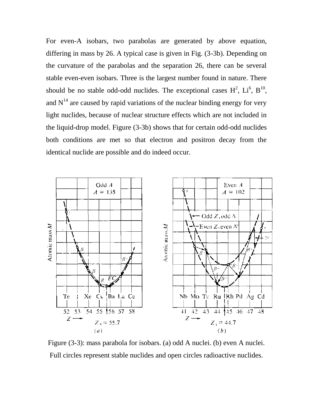For even-A isobars, two parabolas are generated by above equation, differing in mass by 26. A typical case is given in Fig. (3-3b). Depending on the curvature of the parabolas and the separation 26, there can be several stable even-even isobars. Three is the largest number found in nature. There should be no stable odd-odd nuclides. The exceptional cases  $H^2$ ,  $Li^6$ ,  $B^{10}$ , and  $N<sup>14</sup>$  are caused by rapid variations of the nuclear binding energy for very light nuclides, because of nuclear structure effects which are not included in the liquid-drop model. Figure (3-3b) shows that for certain odd-odd nuclides both conditions are met so that electron and positron decay from the identical nuclide are possible and do indeed occur.



Figure (3-3): mass parabola for isobars. (a) odd A nuclei. (b) even A nuclei. Full circles represent stable nuclides and open circles radioactive nuclides.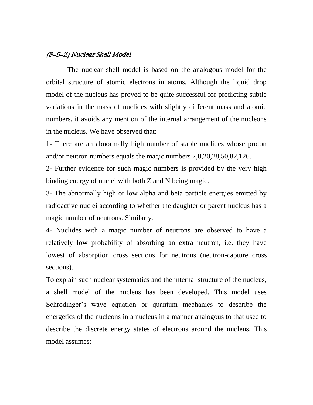## (3-5-2) Nuclear Shell Model

 The nuclear shell model is based on the analogous model for the orbital structure of atomic electrons in atoms. Although the liquid drop model of the nucleus has proved to be quite successful for predicting subtle variations in the mass of nuclides with slightly different mass and atomic numbers, it avoids any mention of the internal arrangement of the nucleons in the nucleus. We have observed that:

1- There are an abnormally high number of stable nuclides whose proton and/or neutron numbers equals the magic numbers 2,8,20,28,50,82,126.

2- Further evidence for such magic numbers is provided by the very high binding energy of nuclei with both Z and N being magic.

3- The abnormally high or low alpha and beta particle energies emitted by radioactive nuclei according to whether the daughter or parent nucleus has a magic number of neutrons. Similarly.

4- Nuclides with a magic number of neutrons are observed to have a relatively low probability of absorbing an extra neutron, i.e. they have lowest of absorption cross sections for neutrons (neutron-capture cross sections).

To explain such nuclear systematics and the internal structure of the nucleus, a shell model of the nucleus has been developed. This model uses Schrodinger's wave equation or quantum mechanics to describe the energetics of the nucleons in a nucleus in a manner analogous to that used to describe the discrete energy states of electrons around the nucleus. This model assumes: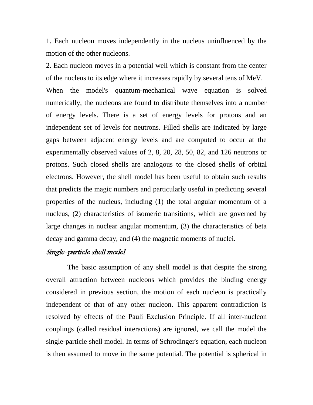1. Each nucleon moves independently in the nucleus uninfluenced by the motion of the other nucleons.

2. Each nucleon moves in a potential well which is constant from the center of the nucleus to its edge where it increases rapidly by several tens of MeV. When the model's quantum-mechanical wave equation is solved numerically, the nucleons are found to distribute themselves into a number of energy levels. There is a set of energy levels for protons and an independent set of levels for neutrons. Filled shells are indicated by large gaps between adjacent energy levels and are computed to occur at the experimentally observed values of 2, 8, 20, 28, 50, 82, and 126 neutrons or protons. Such closed shells are analogous to the closed shells of orbital electrons. However, the shell model has been useful to obtain such results that predicts the magic numbers and particularly useful in predicting several properties of the nucleus, including (1) the total angular momentum of a nucleus, (2) characteristics of isomeric transitions, which are governed by large changes in nuclear angular momentum, (3) the characteristics of beta decay and gamma decay, and (4) the magnetic moments of nuclei.

## Single-particle shell model

 The basic assumption of any shell model is that despite the strong overall attraction between nucleons which provides the binding energy considered in previous section, the motion of each nucleon is practically independent of that of any other nucleon. This apparent contradiction is resolved by effects of the Pauli Exclusion Principle. If all inter-nucleon couplings (called residual interactions) are ignored, we call the model the single-particle shell model. In terms of Schrodinger's equation, each nucleon is then assumed to move in the same potential. The potential is spherical in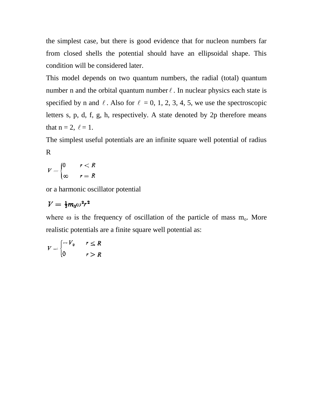the simplest case, but there is good evidence that for nucleon numbers far from closed shells the potential should have an ellipsoidal shape. This condition will be considered later.

This model depends on two quantum numbers, the radial (total) quantum number n and the orbital quantum number  $\ell$ . In nuclear physics each state is specified by n and  $\ell$ . Also for  $\ell = 0, 1, 2, 3, 4, 5$ , we use the spectroscopic letters s, p, d, f, g, h, respectively. A state denoted by 2p therefore means that  $n = 2$ ,  $\ell = 1$ .

The simplest useful potentials are an infinite square well potential of radius R

$$
V = \begin{cases} 0 & r < R \\ \infty & r = R \end{cases}
$$

or a harmonic oscillator potential

$$
V = \frac{1}{2}m_0 \omega^2 r^2
$$

where  $\omega$  is the frequency of oscillation of the particle of mass  $m_0$ . More realistic potentials are a finite square well potential as:

$$
V = \begin{cases} -V_0 & r \le R \\ 0 & r > R \end{cases}
$$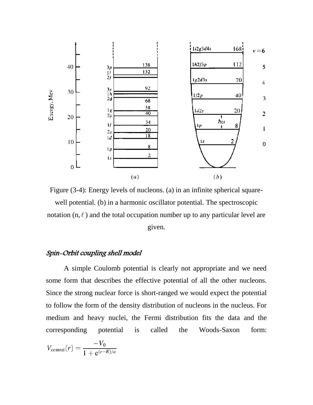

Figure (3-4): Energy levels of nucleons. (a) in an infinite spherical squarewell potential. (b) in a harmonic oscillator potential. The spectroscopic notation  $(n, \ell)$  and the total occupation number up to any particular level are given.

## Spin-Orbit coupling shell model

 A simple Coulomb potential is clearly not appropriate and we need some form that describes the effective potential of all the other nucleons. Since the strong nuclear force is short-ranged we would expect the potential to follow the form of the density distribution of nucleons in the nucleus. For medium and heavy nuclei, the Fermi distribution fits the data and the corresponding potential is called the Woods-Saxon form:

$$
V_{\text{central}}(r) = \frac{-V_0}{1 + e^{(r - R)/a}}
$$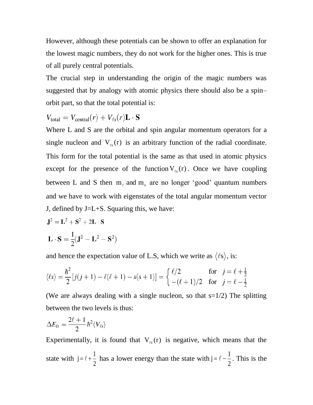However, although these potentials can be shown to offer an explanation for the lowest magic numbers, they do not work for the higher ones. This is true of all purely central potentials.

The crucial step in understanding the origin of the magic numbers was suggested that by analogy with atomic physics there should also be a spin– orbit part, so that the total potential is:

$$
V_{\text{total}} = V_{\text{central}}(r) + V_{\ell s}(r) \mathbf{L} \cdot \mathbf{S}
$$

Where L and S are the orbital and spin angular momentum operators for a single nucleon and  $V_{\ell s}(r)$  is an arbitrary function of the radial coordinate. This form for the total potential is the same as that used in atomic physics except for the presence of the function  $V_{\ell s}(r)$ . Once we have coupling between L and S then  $m_{\ell}$  and  $m_s$  are no longer 'good' quantum numbers and we have to work with eigenstates of the total angular momentum vector J, defined by J=L+S. Squaring this, we have:

$$
\mathbf{J}^2 = \mathbf{L}^2 + \mathbf{S}^2 + 2\mathbf{L} \cdot \mathbf{S}
$$

$$
\mathbf{L} \cdot \mathbf{S} = \frac{1}{2} (\mathbf{J}^2 - \mathbf{L}^2 - \mathbf{S}^2)
$$

and hence the expectation value of L.S, which we write as  $\langle \ell s \rangle$ , is:

$$
\langle \ell s \rangle = \frac{\hbar^2}{2} [j(j+1) - \ell(\ell+1) - s(s+1)] = \begin{cases} \ell/2 & \text{for } j = \ell + \frac{1}{2} \\ -(\ell+1)/2 & \text{for } j = \ell - \frac{1}{2} \end{cases}
$$

(We are always dealing with a single nucleon, so that  $s=1/2$ ) The splitting between the two levels is thus:

$$
\Delta E_{ls}=\frac{2\ell+1}{2}\hbar^2\langle V_{\ell s}\rangle
$$

Experimentally, it is found that  $V_{\ell s}(r)$  is negative, which means that the state with 2 1  $j = \ell + \frac{1}{2}$  has a lower energy than the state with 2  $j = \ell - \frac{1}{2}$ . This is the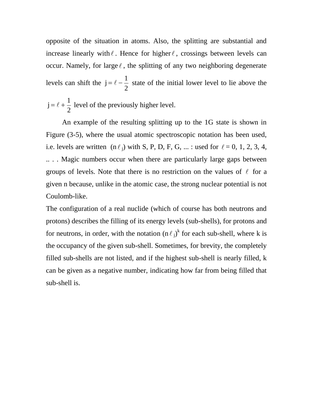opposite of the situation in atoms. Also, the splitting are substantial and increase linearly with  $\ell$ . Hence for higher  $\ell$ , crossings between levels can occur. Namely, for large  $\ell$ , the splitting of any two neighboring degenerate levels can shift the 2 1  $j = \ell - \frac{1}{2}$  state of the initial lower level to lie above the 1  $j = \ell + \frac{1}{2}$  level of the previously higher level.

2

 An example of the resulting splitting up to the 1G state is shown in Figure (3-5), where the usual atomic spectroscopic notation has been used, i.e. levels are written  $(n \ell_j)$  with S, P, D, F, G, ... : used for  $\ell = 0, 1, 2, 3, 4$ , .. . . Magic numbers occur when there are particularly large gaps between groups of levels. Note that there is no restriction on the values of  $\ell$  for a given n because, unlike in the atomic case, the strong nuclear potential is not Coulomb-like.

The configuration of a real nuclide (which of course has both neutrons and protons) describes the filling of its energy levels (sub-shells), for protons and for neutrons, in order, with the notation  $(n \ell_j)^k$  for each sub-shell, where k is the occupancy of the given sub-shell. Sometimes, for brevity, the completely filled sub-shells are not listed, and if the highest sub-shell is nearly filled, k can be given as a negative number, indicating how far from being filled that sub-shell is.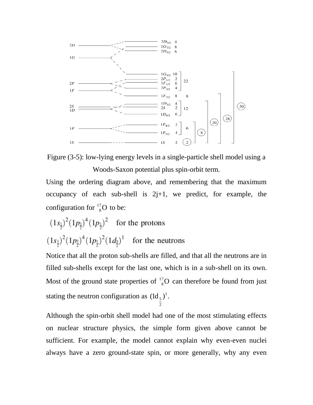



Using the ordering diagram above, and remembering that the maximum occupancy of each sub-shell is  $2j+1$ , we predict, for example, the configuration for  $\frac{^{17}}{8}$ O  ${}^{7}_{8}$ O to be:

$$
(1s_{\frac{1}{2}})^{2}(1p_{\frac{3}{2}})^{4}(1p_{\frac{1}{2}})^{2}
$$
 for the protons  

$$
(1s_{\frac{1}{2}})^{2}(1p_{\frac{3}{2}})^{4}(1p_{\frac{1}{2}})^{2}(1d_{\frac{5}{2}})^{1}
$$
 for the neutrons

Notice that all the proton sub-shells are filled, and that all the neutrons are in filled sub-shells except for the last one, which is in a sub-shell on its own. Most of the ground state properties of  $^{17}_{8}$ O  ${}_{8}^{7}$ O can therefore be found from just stating the neutron configuration as  $(\mathrm{Id}_5)^1$ 2  $({\rm Id}_5)^1$ .

Although the spin-orbit shell model had one of the most stimulating effects on nuclear structure physics, the simple form given above cannot be sufficient. For example, the model cannot explain why even-even nuclei always have a zero ground-state spin, or more generally, why any even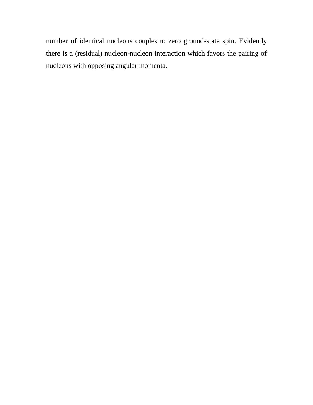number of identical nucleons couples to zero ground-state spin. Evidently there is a (residual) nucleon-nucleon interaction which favors the pairing of nucleons with opposing angular momenta.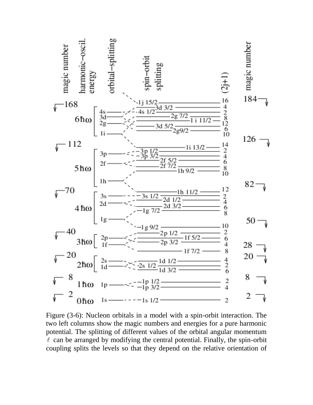

Figure (3-6): Nucleon orbitals in a model with a spin-orbit interaction. The two left columns show the magic numbers and energies for a pure harmonic potential. The splitting of different values of the orbital angular momentum  $\ell$  can be arranged by modifying the central potential. Finally, the spin-orbit coupling splits the levels so that they depend on the relative orientation of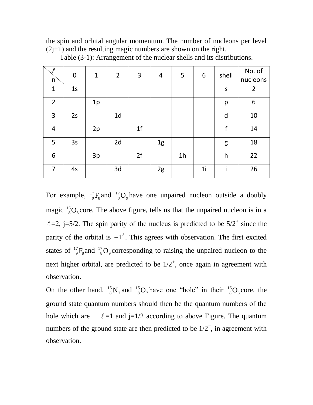the spin and orbital angular momentum. The number of nucleons per level  $(2j+1)$  and the resulting magic numbers are shown on the right.

| $\ell$<br>n    | 0              | $\mathbf{1}$ | $\overline{2}$ | 3              | $\overline{4}$ | 5              | 6              | shell   | No. of<br>nucleons |
|----------------|----------------|--------------|----------------|----------------|----------------|----------------|----------------|---------|--------------------|
| $\mathbf{1}$   | 1 <sub>S</sub> |              |                |                |                |                |                | $\sf S$ | $\overline{2}$     |
| $\overline{2}$ |                | 1p           |                |                |                |                |                | p       | 6                  |
| 3              | 2s             |              | 1 <sub>d</sub> |                |                |                |                | d       | 10                 |
| $\overline{4}$ |                | 2p           |                | 1 <sup>f</sup> |                |                |                | f       | 14                 |
| 5              | 3s             |              | 2d             |                | 1g             |                |                | g       | 18                 |
| 6              |                | 3p           |                | 2f             |                | 1 <sub>h</sub> |                | h       | 22                 |
| 7              | 4s             |              | 3d             |                | 2g             |                | 1 <sub>i</sub> |         | 26                 |

Table (3-1): Arrangement of the nuclear shells and its distributions.

For example,  ${}^{17}_{9}F_8$  $^{17}_{9}F_8$  and  $^{17}_{8}O_9$  $^{17}_{8}O_9$  have one unpaired nucleon outside a doubly magic  $^{16}_{8}O_8$  $^{16}_{8}O_8$  core. The above figure, tells us that the unpaired nucleon is in a  $\ell$  =2, j=5/2. The spin parity of the nucleus is predicted to be 5/2<sup>+</sup> since the parity of the orbital is  $-1^{\ell}$ . This agrees with observation. The first excited states of  $^{17}_{9}F_8$  $^{17}_{9}F_8$  and  $^{17}_{8}O_9$  $^{17}_{8}$ O<sub>9</sub> corresponding to raising the unpaired nucleon to the next higher orbital, are predicted to be  $1/2^+$ , once again in agreement with observation.

On the other hand,  $^{15}_{8}N_7$  $^{15}_{8}$ N<sub>7</sub> and  $^{15}_{8}$ O<sub>7</sub>  $^{15}_{8}O_7$  have one "hole" in their  $^{16}_{8}O_8$  $^{16}_{8}O_8$  core, the ground state quantum numbers should then be the quantum numbers of the hole which are  $\ell$  =1 and j=1/2 according to above Figure. The quantum numbers of the ground state are then predicted to be  $1/2^-$ , in agreement with observation.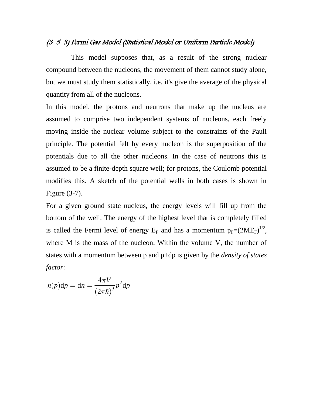## (3-5-3) Fermi Gas Model (Statistical Model or Uniform Particle Model)

 This model supposes that, as a result of the strong nuclear compound between the nucleons, the movement of them cannot study alone, but we must study them statistically, i.e. it's give the average of the physical quantity from all of the nucleons.

In this model, the protons and neutrons that make up the nucleus are assumed to comprise two independent systems of nucleons, each freely moving inside the nuclear volume subject to the constraints of the Pauli principle. The potential felt by every nucleon is the superposition of the potentials due to all the other nucleons. In the case of neutrons this is assumed to be a finite-depth square well; for protons, the Coulomb potential modifies this. A sketch of the potential wells in both cases is shown in Figure (3-7).

For a given ground state nucleus, the energy levels will fill up from the bottom of the well. The energy of the highest level that is completely filled is called the Fermi level of energy  $E_F$  and has a momentum  $p_F=(2ME_F)^{1/2}$ , where M is the mass of the nucleon. Within the volume V, the number of states with a momentum between p and p+dp is given by the *density of states factor*:

$$
n(p)\mathrm{d}p = \mathrm{d}n = \frac{4\pi V}{\left(2\pi\hbar\right)^3}p^2\mathrm{d}p
$$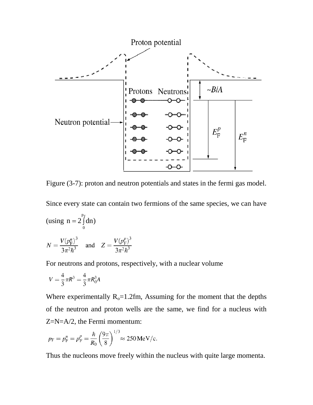

Figure (3-7): proton and neutron potentials and states in the fermi gas model.

Since every state can contain two fermions of the same species, we can have  $p_F^{\phantom{\dagger}}$ (using  $n = 2 \int$  $n = 2 \int dn$ 0  $N = \frac{V(p_{\rm F}^n)^3}{3\pi^2\hbar^3}$  and  $Z = \frac{V(p_{\rm F}^p)^3}{3\pi^2\hbar^3}$ 

For neutrons and protons, respectively, with a nuclear volume

$$
V = \frac{4}{3}\pi R^3 = \frac{4}{3}\pi R_0^3 A
$$

Where experimentally  $R_0 = 1.2$ fm, Assuming for the moment that the depths of the neutron and proton wells are the same, we find for a nucleus with Z=N=A/2, the Fermi momentum:

$$
p_{\rm F} = p_{\rm F}^n = p_{\rm F}^p = \frac{\hbar}{R_0} \left(\frac{9\pi}{8}\right)^{1/3} \approx 250 \,\text{MeV/c}.
$$

Thus the nucleons move freely within the nucleus with quite large momenta.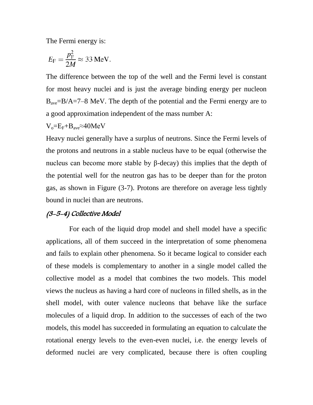The Fermi energy is:

$$
E_{\rm F} = \frac{p_{\rm F}^2}{2M} \approx 33 \text{ MeV}.
$$

The difference between the top of the well and the Fermi level is constant for most heavy nuclei and is just the average binding energy per nucleon  $B_{\text{ave}}=B/A=7-8$  MeV. The depth of the potential and the Fermi energy are to a good approximation independent of the mass number A:

$$
V_o = E_F + B_{ave} \approx 40 MeV
$$

Heavy nuclei generally have a surplus of neutrons. Since the Fermi levels of the protons and neutrons in a stable nucleus have to be equal (otherwise the nucleus can become more stable by β-decay) this implies that the depth of the potential well for the neutron gas has to be deeper than for the proton gas, as shown in Figure (3-7). Protons are therefore on average less tightly bound in nuclei than are neutrons.

#### (3-5-4) Collective Model

 For each of the liquid drop model and shell model have a specific applications, all of them succeed in the interpretation of some phenomena and fails to explain other phenomena. So it became logical to consider each of these models is complementary to another in a single model called the collective model as a model that combines the two models. This model views the nucleus as having a hard core of nucleons in filled shells, as in the shell model, with outer valence nucleons that behave like the surface molecules of a liquid drop. In addition to the successes of each of the two models, this model has succeeded in formulating an equation to calculate the rotational energy levels to the even-even nuclei, i.e. the energy levels of deformed nuclei are very complicated, because there is often coupling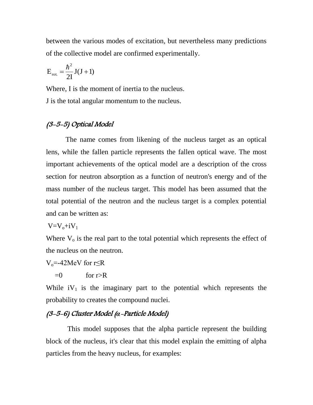between the various modes of excitation, but nevertheless many predictions of the collective model are confirmed experimentally.

$$
E_{\rm rot.} = \frac{\hbar^2}{2I} J(J+1)
$$

Where, I is the moment of inertia to the nucleus. J is the total angular momentum to the nucleus.

# (3-5-5) Optical Model

 The name comes from likening of the nucleus target as an optical lens, while the fallen particle represents the fallen optical wave. The most important achievements of the optical model are a description of the cross section for neutron absorption as a function of neutron's energy and of the mass number of the nucleus target. This model has been assumed that the total potential of the neutron and the nucleus target is a complex potential and can be written as:

 $V=V_0+iV_1$ 

Where  $V_0$  is the real part to the total potential which represents the effect of the nucleus on the neutron.

## $V_0$ =-42MeV for r $\leq$ R

 $=0$  for r>R

While  $iV_1$  is the imaginary part to the potential which represents the probability to creates the compound nuclei.

## (3-5-6) Cluster Model (*α*-Particle Model)

 This model supposes that the alpha particle represent the building block of the nucleus, it's clear that this model explain the emitting of alpha particles from the heavy nucleus, for examples: